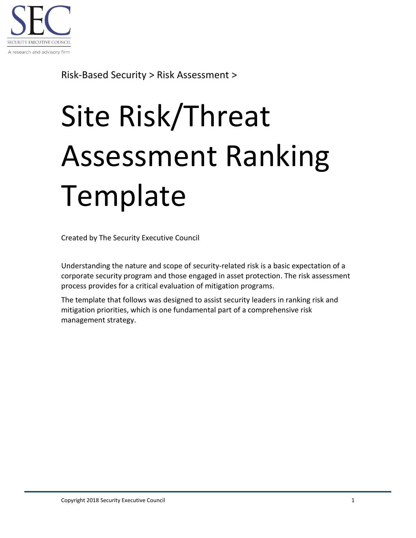

Risk-Based Security > Risk Assessment >

## Site Risk/Threat Assessment Ranking **Template**

Created by The Security Executive Council

Understanding the nature and scope of security-related risk is a basic expectation of a corporate security program and those engaged in asset protection. The risk assessment process provides for a critical evaluation of mitigation programs.

The template that follows was designed to assist security leaders in ranking risk and mitigation priorities, which is one fundamental part of a comprehensive risk management strategy.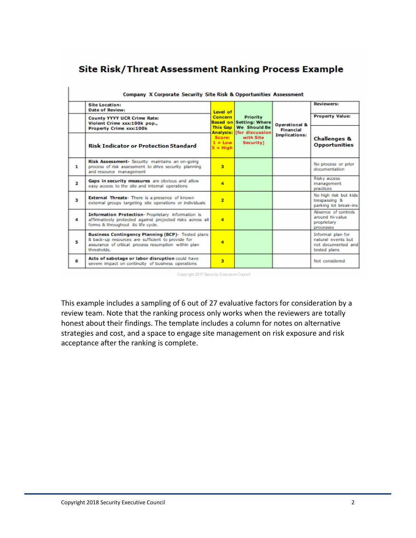## Site Risk/Threat Assessment Ranking Process Example

| Company X Corporate Security Site Risk & Opportunities Assessment |                                                                                                                                                                                      |                                                                             |                                                                                                                                        |                                                                      |                                                                               |  |  |  |
|-------------------------------------------------------------------|--------------------------------------------------------------------------------------------------------------------------------------------------------------------------------------|-----------------------------------------------------------------------------|----------------------------------------------------------------------------------------------------------------------------------------|----------------------------------------------------------------------|-------------------------------------------------------------------------------|--|--|--|
|                                                                   | <b>Site Location:</b><br><b>Date of Review:</b>                                                                                                                                      | Level of<br>Concern<br><b>This Gap</b><br>Score:<br>$1 = Low$<br>$5 =$ High | <b>Priority</b><br><b>Based on Setting: Where</b><br><b>We Should Be</b><br><b>Analysis: [for discussion</b><br>with Site<br>Security] | <b>Operational &amp;</b><br><b>Financial</b><br><b>Implications:</b> | <b>Reviewers:</b>                                                             |  |  |  |
|                                                                   | <b>County YYYY UCR Crime Rate:</b><br>Violent Crime xxx:100k pop.,                                                                                                                   |                                                                             |                                                                                                                                        |                                                                      | <b>Property Value:</b>                                                        |  |  |  |
|                                                                   | Property Crime xxx:100k<br><b>Risk Indicator or Protection Standard</b>                                                                                                              |                                                                             |                                                                                                                                        |                                                                      | <b>Challenges &amp;</b><br><b>Opportunities</b>                               |  |  |  |
| 1                                                                 | Risk Assessment- Security maintains an on-going<br>process of risk assessment to drive security planning<br>and resource management                                                  | $\overline{\mathbf{3}}$                                                     |                                                                                                                                        |                                                                      | No process or prior<br>documentation                                          |  |  |  |
| $\overline{\mathbf{2}}$                                           | Gaps in security measures are obvious and allow<br>easy access to the site and internal operations                                                                                   | $\overline{\mathbf{a}}$                                                     |                                                                                                                                        |                                                                      | Risky access<br>management<br>practices                                       |  |  |  |
| k.                                                                | <b>External Threats-</b> There is a presence of known<br>external groups targeting site operations or individuals                                                                    | $\overline{\mathbf{z}}$                                                     |                                                                                                                                        |                                                                      | No high risk but kids<br>trespassing &<br>parking lot break-ins               |  |  |  |
| 4                                                                 | Information Protection-Proprietary information is<br>affirmatively protected against projected risks across all<br>forms & throughout its life cycle.                                | 4                                                                           |                                                                                                                                        |                                                                      | Absence of controls<br>around hi-value<br>proprietary<br>processes            |  |  |  |
| 5                                                                 | <b>Business Contingency Planning (BCP)-</b> Tested plans<br>& back-up resources are sufficient to provide for<br>assurance of critical process resumption within plan<br>thresholds. | 4                                                                           |                                                                                                                                        |                                                                      | Informal plan for<br>natural events but<br>not documented and<br>tested plans |  |  |  |
| 6                                                                 | Acts of sabotage or labor disruption could have<br>severe impact on continuity of business operations                                                                                | $\overline{\mathbf{3}}$                                                     |                                                                                                                                        |                                                                      | Not considered                                                                |  |  |  |

Copyright 2017 Security Executive Council

This example includes a sampling of 6 out of 27 evaluative factors for consideration by a review team. Note that the ranking process only works when the reviewers are totally honest about their findings. The template includes a column for notes on alternative strategies and cost, and a space to engage site management on risk exposure and risk acceptance after the ranking is complete.

I.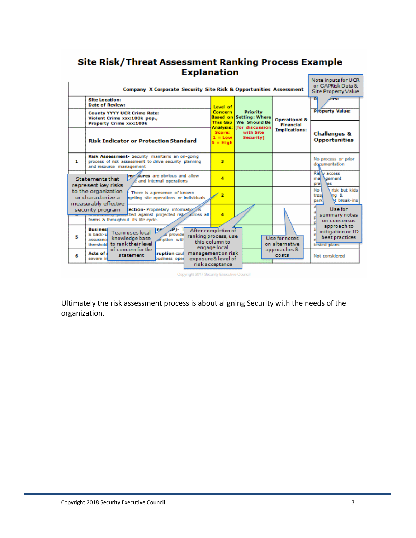## Site Risk/Threat Assessment Ranking Process Example **Explanation**

|                                                                                                                                                     | Note inputs for UCR<br>or CAPRisk Data &<br>Site Property Value                                                                     |                                                                              |                                                                                                                     |                                                                      |                                                                      |
|-----------------------------------------------------------------------------------------------------------------------------------------------------|-------------------------------------------------------------------------------------------------------------------------------------|------------------------------------------------------------------------------|---------------------------------------------------------------------------------------------------------------------|----------------------------------------------------------------------|----------------------------------------------------------------------|
| <b>Site Location:</b><br><b>Date of Review:</b>                                                                                                     |                                                                                                                                     | Level of                                                                     | <b>Priority</b><br><b>Setting: Where</b><br><b>We Should Be</b><br><b>[for discussion</b><br>with Site<br>Security] | <b>Operational &amp;</b><br><b>Financial</b><br><b>Implications:</b> | ers:<br>R                                                            |
|                                                                                                                                                     | <b>County YYYY UCR Crime Rate:</b><br>Violent Crime xxx:100k pop.,<br>Property Crime xxx:100k                                       | Concern<br><b>Based on</b><br><b>This Gap</b>                                |                                                                                                                     |                                                                      | <b>Poperty Value:</b>                                                |
|                                                                                                                                                     | <b>Risk Indicator or Protection Standard</b>                                                                                        | <b>Analysis:</b><br>Score:<br>$1 = Low$<br>$5 = High$                        |                                                                                                                     |                                                                      | <b>Challenges &amp;</b><br><b>Opportunities</b>                      |
| 1.                                                                                                                                                  | Risk Assessment- Security maintains an on-going<br>process of risk assessment to drive security planning<br>and resource management | 3                                                                            |                                                                                                                     |                                                                      | No process or prior<br>documentation                                 |
| Statements that<br>represent key risks                                                                                                              | me sures are obvious and allow<br>and internal operations                                                                           | 4                                                                            |                                                                                                                     |                                                                      | Ris v access<br>gement<br>mal<br>es<br>prat                          |
| to the organization<br>or characterize a<br>measurably effective                                                                                    | There is a presence of known<br>rgeting site operations or individuals                                                              | $\overline{\mathbf{z}}$                                                      |                                                                                                                     |                                                                      | risk but kids<br>No<br>Ing &<br>trest<br><b>Mt</b> break-ins<br>park |
| ection-Proprietary information<br>security program<br>manuscreas procedured against projected risk across all<br>forms & throughout its life cycle. |                                                                                                                                     | 4                                                                            |                                                                                                                     |                                                                      | Use for<br>summary notes<br>on consensus                             |
| <b>Business</b><br>& back-u<br>5<br>assurance<br>threshold                                                                                          | $\mathcal{A}^{\circ}$<br>The<br>Team uses local<br>o provide<br>knowledge base<br>motion with<br>to rank their level                | After completion of<br>ranking process, use<br>this column to                |                                                                                                                     | Use for notes<br>on alternative                                      | approach to<br>mitigation or ID<br>best practices<br>tested plans    |
| Acts of:<br>6<br>severe in                                                                                                                          | of concern for the<br>ruption coul<br>statement<br>business oper                                                                    | engage local<br>management on risk<br>exposure & level of<br>risk acceptance |                                                                                                                     | approaches &<br>costs                                                | Not considered                                                       |

Copyright 2017 Security Executive Council

Ultimately the risk assessment process is about aligning Security with the needs of the organization.